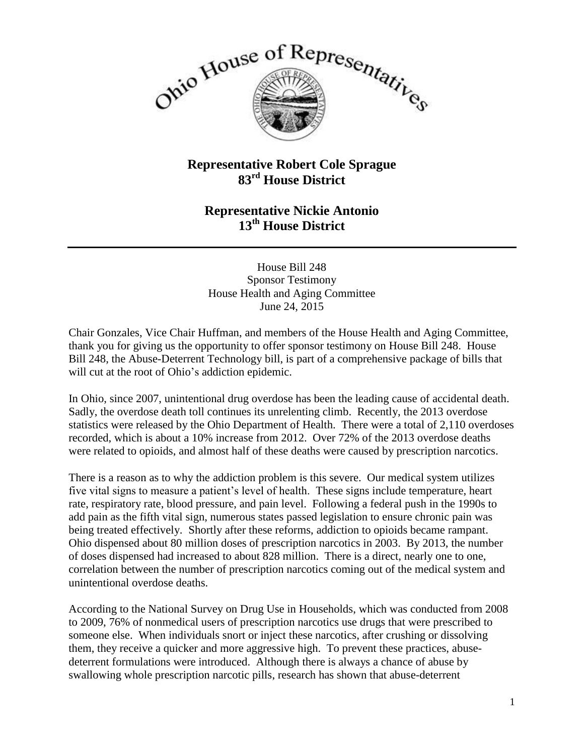

## **Representative Robert Cole Sprague 83rd House District**

## **Representative Nickie Antonio 13th House District**

House Bill 248 Sponsor Testimony House Health and Aging Committee June 24, 2015

Chair Gonzales, Vice Chair Huffman, and members of the House Health and Aging Committee, thank you for giving us the opportunity to offer sponsor testimony on House Bill 248. House Bill 248, the Abuse-Deterrent Technology bill, is part of a comprehensive package of bills that will cut at the root of Ohio's addiction epidemic.

In Ohio, since 2007, unintentional drug overdose has been the leading cause of accidental death. Sadly, the overdose death toll continues its unrelenting climb. Recently, the 2013 overdose statistics were released by the Ohio Department of Health. There were a total of 2,110 overdoses recorded, which is about a 10% increase from 2012. Over 72% of the 2013 overdose deaths were related to opioids, and almost half of these deaths were caused by prescription narcotics.

There is a reason as to why the addiction problem is this severe. Our medical system utilizes five vital signs to measure a patient's level of health. These signs include temperature, heart rate, respiratory rate, blood pressure, and pain level. Following a federal push in the 1990s to add pain as the fifth vital sign, numerous states passed legislation to ensure chronic pain was being treated effectively. Shortly after these reforms, addiction to opioids became rampant. Ohio dispensed about 80 million doses of prescription narcotics in 2003. By 2013, the number of doses dispensed had increased to about 828 million. There is a direct, nearly one to one, correlation between the number of prescription narcotics coming out of the medical system and unintentional overdose deaths.

According to the National Survey on Drug Use in Households, which was conducted from 2008 to 2009, 76% of nonmedical users of prescription narcotics use drugs that were prescribed to someone else. When individuals snort or inject these narcotics, after crushing or dissolving them, they receive a quicker and more aggressive high. To prevent these practices, abusedeterrent formulations were introduced. Although there is always a chance of abuse by swallowing whole prescription narcotic pills, research has shown that abuse-deterrent